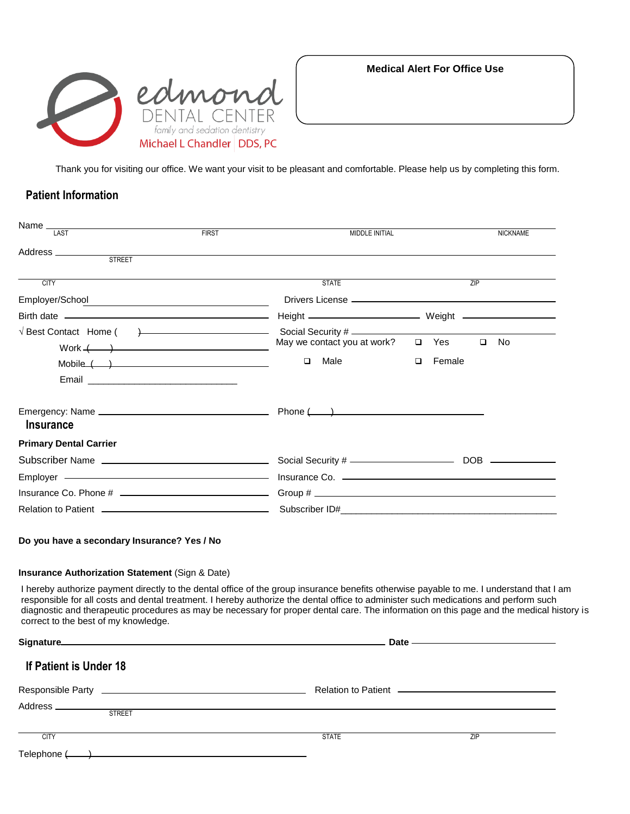

**Medical Alert For Office Use**

Thank you for visiting our office. We want your visit to be pleasant and comfortable. Please help us by completing this form.

## **Patient Information**

| Name $\frac{1}{\sqrt{14ST}}$                                                                                                                                                                                                   | <b>FIRST</b> | <b>MIDDLE INITIAL</b>                                                                                                                                                                                                          |        |            |     | <b>NICKNAME</b> |
|--------------------------------------------------------------------------------------------------------------------------------------------------------------------------------------------------------------------------------|--------------|--------------------------------------------------------------------------------------------------------------------------------------------------------------------------------------------------------------------------------|--------|------------|-----|-----------------|
|                                                                                                                                                                                                                                |              |                                                                                                                                                                                                                                |        |            |     |                 |
| Address ___________<br><b>STREET</b>                                                                                                                                                                                           |              |                                                                                                                                                                                                                                |        |            |     |                 |
| <b>CITY</b>                                                                                                                                                                                                                    |              | <b>STATE</b>                                                                                                                                                                                                                   |        |            | 7IP |                 |
| Employer/School entertainments and the control of the control of the control of the control of the control of the control of the control of the control of the control of the control of the control of the control of the con |              | Drivers License ———————————————————————                                                                                                                                                                                        |        |            |     |                 |
|                                                                                                                                                                                                                                |              |                                                                                                                                                                                                                                |        |            |     |                 |
| $Work ( )$                                                                                                                                                                                                                     |              | $\sqrt{2}$ Best Contact Home ( ) $\frac{1}{2}$ Social Security #<br>May we contact you at work?                                                                                                                                |        | $\Box$ Yes |     | $\square$ No    |
| Mobile ( )                                                                                                                                                                                                                     |              | Male<br>$\Box$                                                                                                                                                                                                                 | $\Box$ | Female     |     |                 |
|                                                                                                                                                                                                                                |              |                                                                                                                                                                                                                                |        |            |     |                 |
| <b>Insurance</b>                                                                                                                                                                                                               |              |                                                                                                                                                                                                                                |        |            |     |                 |
| <b>Primary Dental Carrier</b>                                                                                                                                                                                                  |              |                                                                                                                                                                                                                                |        |            |     |                 |
|                                                                                                                                                                                                                                |              |                                                                                                                                                                                                                                |        |            |     |                 |
|                                                                                                                                                                                                                                |              |                                                                                                                                                                                                                                |        |            |     |                 |
|                                                                                                                                                                                                                                |              |                                                                                                                                                                                                                                |        |            |     |                 |
|                                                                                                                                                                                                                                |              | Relation to Patient (2000) 2000 Contract Contract Contract Contract Contract Contract Contract Contract Contract Contract Contract Contract Contract Contract Contract Contract Contract Contract Contract Contract Contract C |        |            |     |                 |

#### **Insurance Authorization Statement (Sign & Date)**

I hereby authorize payment directly to the dental office of the group insurance benefits otherwise payable to me. I understand that I am responsible for all costs and dental treatment. I hereby authorize the dental office to administer such medications and perform such diagnostic and therapeutic procedures as may be necessary for proper dental care. The information on this page and the medical history is correct to the best of my knowledge.

|                                                                                                                                    |              | Date ——————————————— |  |  |  |
|------------------------------------------------------------------------------------------------------------------------------------|--------------|----------------------|--|--|--|
| <b>If Patient is Under 18</b>                                                                                                      |              |                      |  |  |  |
|                                                                                                                                    |              |                      |  |  |  |
|                                                                                                                                    |              |                      |  |  |  |
| <b>STREET</b>                                                                                                                      |              |                      |  |  |  |
| $rac{1}{\sqrt{1-\frac{1}{2}}}$                                                                                                     | <b>STATE</b> | ZIP                  |  |  |  |
| Telephone (<br><u> 1980 - Jan Barbara, martin da basar da basar da basar da basar da basar da basar da basar da basar da basar</u> |              |                      |  |  |  |